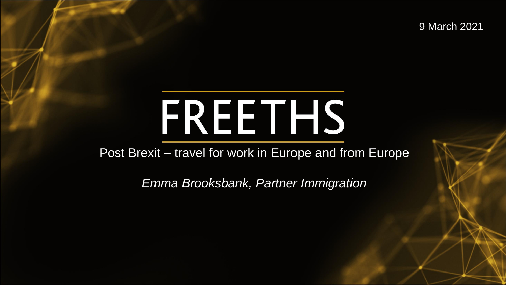9 March 2021

# FREETHS

Post Brexit – travel for work in Europe and from Europe

*Emma Brooksbank, Partner Immigration*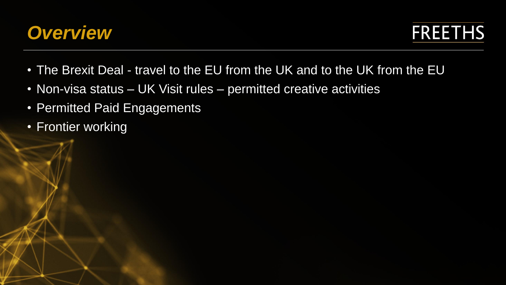

**FREETHS** 

- The Brexit Deal travel to the EU from the UK and to the UK from the EU
- Non-visa status UK Visit rules permitted creative activities
- Permitted Paid Engagements
- Frontier working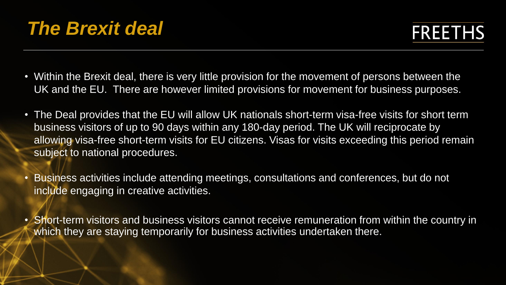- Within the Brexit deal, there is very little provision for the movement of persons between the UK and the EU. There are however limited provisions for movement for business purposes.
- The Deal provides that the EU will allow UK nationals short-term visa-free visits for short term business visitors of up to 90 days within any 180-day period. The UK will reciprocate by allowing visa-free short-term visits for EU citizens. Visas for visits exceeding this period remain subject to national procedures.
- Business activities include attending meetings, consultations and conferences, but do not include engaging in creative activities.
- Short-term visitors and business visitors cannot receive remuneration from within the country in which they are staying temporarily for business activities undertaken there.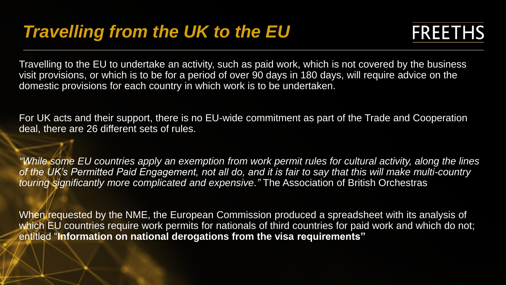Travelling to the EU to undertake an activity, such as paid work, which is not covered by the business visit provisions, or which is to be for a period of over 90 days in 180 days, will require advice on the domestic provisions for each country in which work is to be undertaken.

For UK acts and their support, there is no EU-wide commitment as part of the Trade and Cooperation deal, there are 26 different sets of rules.

*"While some EU countries apply an exemption from work permit rules for cultural activity, along the lines of the UK's Permitted Paid Engagement, not all do, and it is fair to say that this will make multi-country touring significantly more complicated and expensive."* The Association of British Orchestras

When requested by the NME, the European Commission produced a spreadsheet with its analysis of which EU countries require work permits for nationals of third countries for paid work and which do not; entitled "**Information on national derogations from the visa requirements"**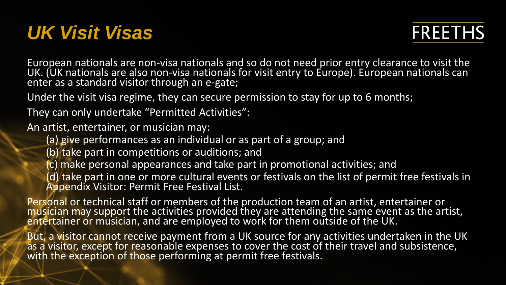## *UK Visit Visas*

**FREETHS** 

European nationals are non-visa nationals and so do not need prior entry clearance to visit the UK. (UK nationals are also non-visa nationals for visit entry to Europe). European nationals can enter as a standard visitor through an e-gate;

Under the visit visa regime, they can secure permission to stay for up to 6 months;

They can only undertake "Permitted Activities":

An artist, entertainer, or musician may:

- (a) give performances as an individual or as part of a group; and
- (b) take part in competitions or auditions; and
- (c) make personal appearances and take part in promotional activities; and
- (d) take part in one or more cultural events or festivals on the list of permit free festivals in Appendix Visitor: Permit Free Festival List.

Personal or technical staff or members of the production team of an artist, entertainer or musician may support the activities provided they are attending the same event as the artist, entertainer or musician, and are employed to work for them outside of the UK.

But, a visitor cannot receive payment from a UK source for any activities undertaken in the UK as a visitor, except for reasonable expenses to cover the cost of their travel and subsistence, with the exception of those performing at permit free festivals.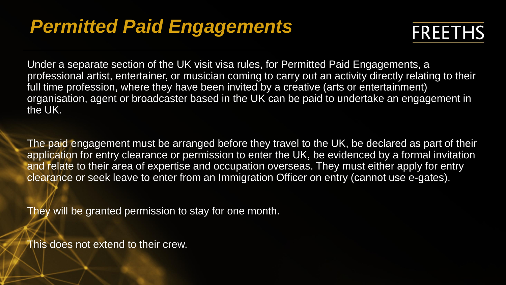## *Permitted Paid Engagements*



Under a separate section of the UK visit visa rules, for Permitted Paid Engagements, a professional artist, entertainer, or musician coming to carry out an activity directly relating to their full time profession, where they have been invited by a creative (arts or entertainment) organisation, agent or broadcaster based in the UK can be paid to undertake an engagement in the UK.

The paid engagement must be arranged before they travel to the UK, be declared as part of their application for entry clearance or permission to enter the UK, be evidenced by a formal invitation and relate to their area of expertise and occupation overseas. They must either apply for entry clearance or seek leave to enter from an Immigration Officer on entry (cannot use e-gates).

They will be granted permission to stay for one month.

This does not extend to their crew.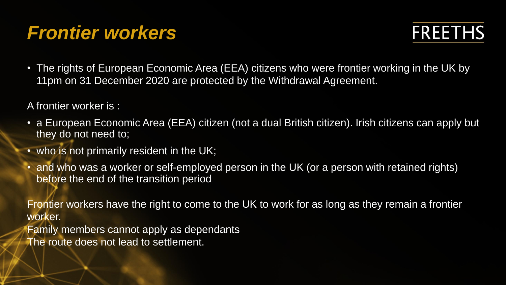## *Frontier workers*

• The rights of European Economic Area (EEA) citizens who were frontier working in the UK by 11pm on 31 December 2020 are protected by the Withdrawal Agreement.

A frontier worker is :

- a European Economic Area (EEA) citizen (not a dual British citizen). Irish citizens can apply but they do not need to;
- who is not primarily resident in the UK;
- and who was a worker or self-employed person in the UK (or a person with retained rights) before the end of the transition period

Frontier workers have the right to come to the UK to work for as long as they remain a frontier worker.

Family members cannot apply as dependants The route does not lead to settlement.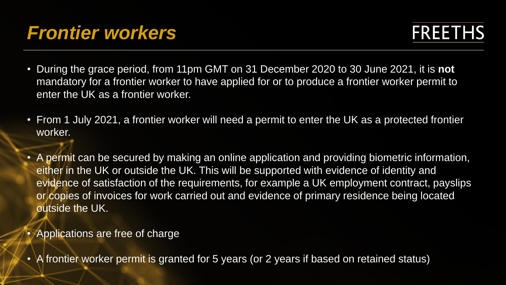## *Frontier workers*

- During the grace period, from 11pm GMT on 31 December 2020 to 30 June 2021, it is **not**  mandatory for a frontier worker to have applied for or to produce a frontier worker permit to enter the UK as a frontier worker.
- From 1 July 2021, a frontier worker will need a permit to enter the UK as a protected frontier worker.
- A permit can be secured by making an online application and providing biometric information, either in the UK or outside the UK. This will be supported with evidence of identity and evidence of satisfaction of the requirements, for example a UK employment contract, payslips or copies of invoices for work carried out and evidence of primary residence being located outside the UK.
- Applications are free of charge
- A frontier worker permit is granted for 5 years (or 2 years if based on retained status)